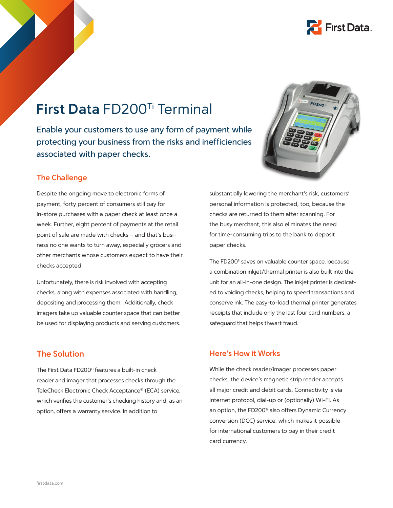

## **First Data** FD200Ti Terminal

Enable your customers to use any form of payment while protecting your business from the risks and inefficiencies associated with paper checks.



#### **The Challenge**

Despite the ongoing move to electronic forms of payment, forty percent of consumers still pay for in-store purchases with a paper check at least once a week. Further, eight percent of payments at the retail point of sale are made with checks – and that's business no one wants to turn away, especially grocers and other merchants whose customers expect to have their checks accepted.

Unfortunately, there is risk involved with accepting checks, along with expenses associated with handling, depositing and processing them. Additionally, check imagers take up valuable counter space that can better be used for displaying products and serving customers.

**The Solution**

The First Data FD200<sup>Ti</sup> features a built-in check reader and imager that processes checks through the TeleCheck Electronic Check Acceptance® (ECA) service, which verifies the customer's checking history and, as an option, offers a warranty service. In addition to

substantially lowering the merchant's risk, customers' personal information is protected, too, because the checks are returned to them after scanning. For the busy merchant, this also eliminates the need for time-consuming trips to the bank to deposit paper checks.

The FD200<sup>Ti</sup> saves on valuable counter space, because a combination inkjet/thermal printer is also built into the unit for an all-in-one design. The inkjet printer is dedicated to voiding checks, helping to speed transactions and conserve ink. The easy-to-load thermal printer generates receipts that include only the last four card numbers, a safeguard that helps thwart fraud.

#### **Here's How it Works**

While the check reader/imager processes paper checks, the device's magnetic strip reader accepts all major credit and debit cards. Connectivity is via Internet protocol, dial-up or (optionally) Wi-Fi. As an option, the FD200<sup>Ti</sup> also offers Dynamic Currency conversion (DCC) service, which makes it possible for international customers to pay in their credit card currency.